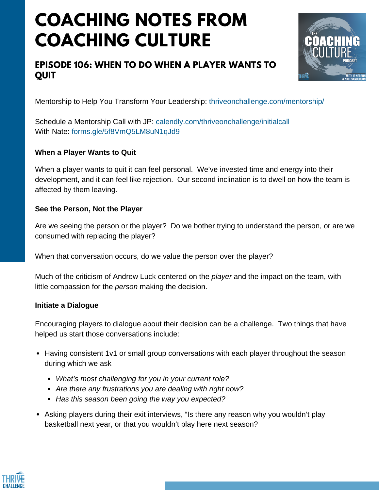# **COACHING NOTES FROM COACHING CULTURE**

# **EPISODE 106: WHEN TO DO WHEN A PLAYER WANTS TO QUIT**



Mentorship to Help You Transform Your Leadership: <thriveonchallenge.com/mentorship/>

Schedule a Mentorship Call with JP: <calendly.com/thriveonchallenge/initialcall> With Nate: forms.gle/5f8VmO5LM8uN1qJd9

### **When a Player Wants to Quit**

When a player wants to quit it can feel personal. We've invested time and energy into their development, and it can feel like rejection. Our second inclination is to dwell on how the team is affected by them leaving.

### **See the Person, Not the Player**

Are we seeing the person or the player? Do we bother trying to understand the person, or are we consumed with replacing the player?

When that conversation occurs, do we value the person over the player?

Much of the criticism of Andrew Luck centered on the *player* and the impact on the team, with little compassion for the *person* making the decision.

### **Initiate a Dialogue**

Encouraging players to dialogue about their decision can be a challenge. Two things that have helped us start those conversations include:

- Having consistent 1v1 or small group conversations with each player throughout the season during which we ask
	- *What's most challenging for you in your current role?*
	- *Are there any frustrations you are dealing with right now?*
	- *Has this season been going the way you expected?*
- Asking players during their exit interviews, "Is there any reason why you wouldn't play basketball next year, or that you wouldn't play here next season?

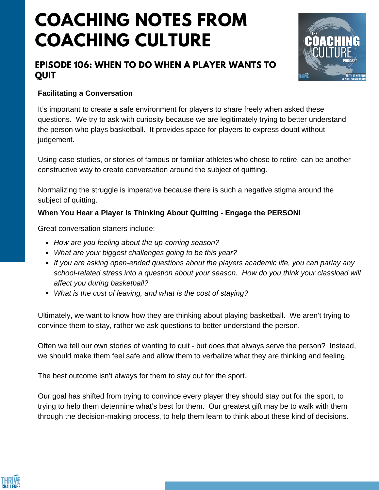# **COACHING NOTES FROM COACHING CULTURE**

# **EPISODE 106: WHEN TO DO WHEN A PLAYER WANTS TO QUIT**



## **Facilitating a Conversation**

It's important to create a safe environment for players to share freely when asked these questions. We try to ask with curiosity because we are legitimately trying to better understand the person who plays basketball. It provides space for players to express doubt without judgement.

Using case studies, or stories of famous or familiar athletes who chose to retire, can be another constructive way to create conversation around the subject of quitting.

Normalizing the struggle is imperative because there is such a negative stigma around the subject of quitting.

## **When You Hear a Player Is Thinking About Quitting - Engage the PERSON!**

Great conversation starters include:

- *How are you feeling about the up-coming season?*
- *What are your biggest challenges going to be this year?*
- *If you are asking open-ended questions about the players academic life, you can parlay any school-related stress into a question about your season. How do you think your classload will affect you during basketball?*
- *What is the cost of leaving, and what is the cost of staying?*

Ultimately, we want to know how they are thinking about playing basketball. We aren't trying to convince them to stay, rather we ask questions to better understand the person.

Often we tell our own stories of wanting to quit - but does that always serve the person? Instead, we should make them feel safe and allow them to verbalize what they are thinking and feeling.

The best outcome isn't always for them to stay out for the sport.

Our goal has shifted from trying to convince every player they should stay out for the sport, to trying to help them determine what's best for them. Our greatest gift may be to walk with them through the decision-making process, to help them learn to think about these kind of decisions.